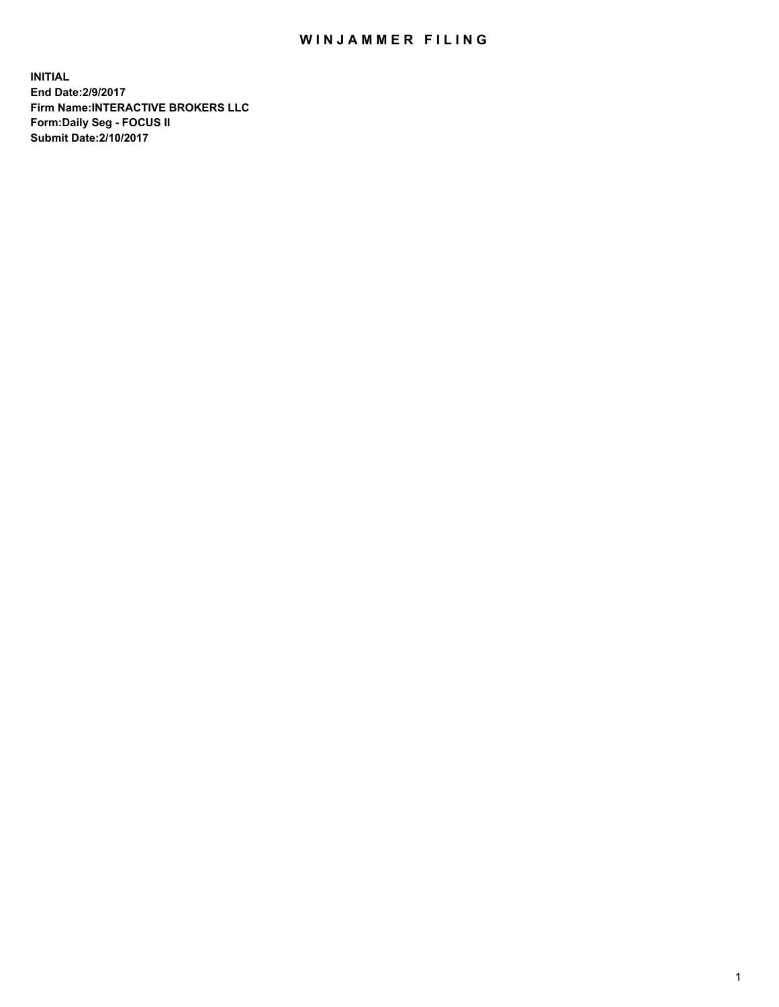## WIN JAMMER FILING

**INITIAL End Date:2/9/2017 Firm Name:INTERACTIVE BROKERS LLC Form:Daily Seg - FOCUS II Submit Date:2/10/2017**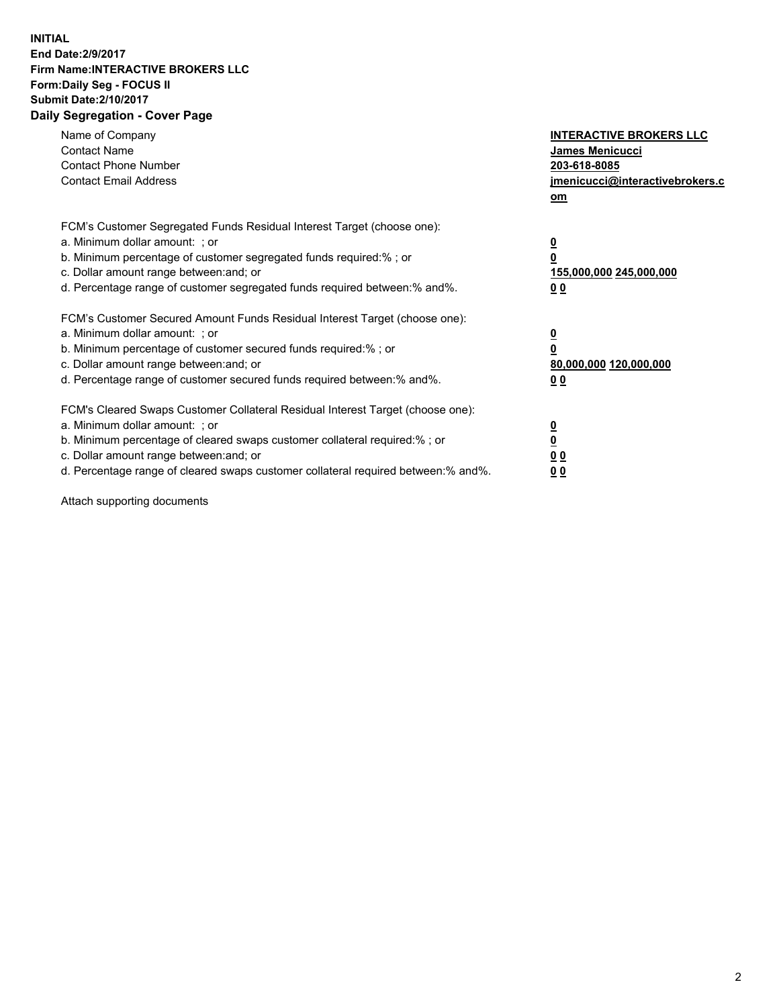## **INITIAL End Date:2/9/2017 Firm Name:INTERACTIVE BROKERS LLC Form:Daily Seg - FOCUS II Submit Date:2/10/2017 Daily Segregation - Cover Page**

| Name of Company<br><b>Contact Name</b><br><b>Contact Phone Number</b><br><b>Contact Email Address</b>                                                                                                                                                                                                                          | <b>INTERACTIVE BROKERS LLC</b><br><b>James Menicucci</b><br>203-618-8085<br>jmenicucci@interactivebrokers.c<br>om |
|--------------------------------------------------------------------------------------------------------------------------------------------------------------------------------------------------------------------------------------------------------------------------------------------------------------------------------|-------------------------------------------------------------------------------------------------------------------|
| FCM's Customer Segregated Funds Residual Interest Target (choose one):<br>a. Minimum dollar amount: ; or<br>b. Minimum percentage of customer segregated funds required:% ; or<br>c. Dollar amount range between: and; or<br>d. Percentage range of customer segregated funds required between: % and %.                       | $\overline{\mathbf{0}}$<br>0<br>155,000,000 245,000,000<br>00                                                     |
| FCM's Customer Secured Amount Funds Residual Interest Target (choose one):<br>a. Minimum dollar amount: ; or<br>b. Minimum percentage of customer secured funds required:%; or<br>c. Dollar amount range between: and; or<br>d. Percentage range of customer secured funds required between: % and %.                          | $\overline{\mathbf{0}}$<br>0<br>80,000,000 120,000,000<br>00                                                      |
| FCM's Cleared Swaps Customer Collateral Residual Interest Target (choose one):<br>a. Minimum dollar amount: ; or<br>b. Minimum percentage of cleared swaps customer collateral required:% ; or<br>c. Dollar amount range between: and; or<br>d. Percentage range of cleared swaps customer collateral required between:% and%. | $\overline{\mathbf{0}}$<br>$\overline{\mathbf{0}}$<br>00<br>0 <sub>0</sub>                                        |

Attach supporting documents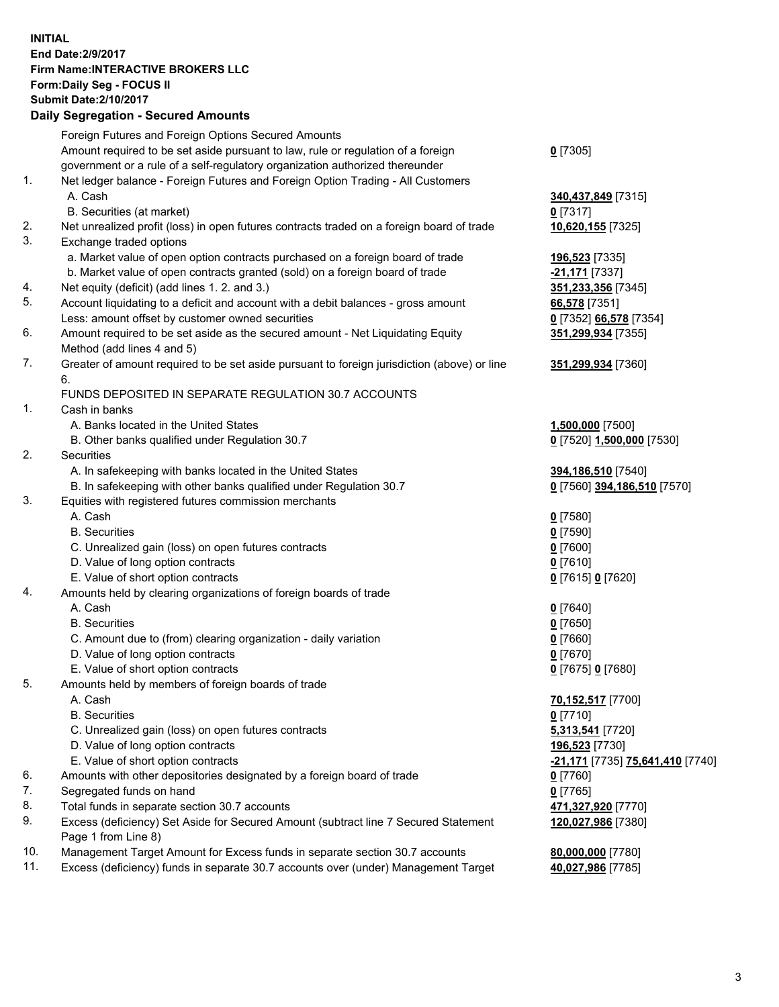## **INITIAL End Date:2/9/2017 Firm Name:INTERACTIVE BROKERS LLC Form:Daily Seg - FOCUS II Submit Date:2/10/2017 Daily Segregation - Secured Amounts**

|     | Daily Ocglegation - Occuled Amounts                                                                        |                                  |
|-----|------------------------------------------------------------------------------------------------------------|----------------------------------|
|     | Foreign Futures and Foreign Options Secured Amounts                                                        |                                  |
|     | Amount required to be set aside pursuant to law, rule or regulation of a foreign                           | $0$ [7305]                       |
|     | government or a rule of a self-regulatory organization authorized thereunder                               |                                  |
| 1.  | Net ledger balance - Foreign Futures and Foreign Option Trading - All Customers                            |                                  |
|     | A. Cash                                                                                                    | 340,437,849 [7315]               |
|     | B. Securities (at market)                                                                                  | $0$ [7317]                       |
| 2.  | Net unrealized profit (loss) in open futures contracts traded on a foreign board of trade                  | 10,620,155 [7325]                |
| 3.  | Exchange traded options                                                                                    |                                  |
|     | a. Market value of open option contracts purchased on a foreign board of trade                             | 196,523 [7335]                   |
|     | b. Market value of open contracts granted (sold) on a foreign board of trade                               | -21,171 [7337]                   |
| 4.  | Net equity (deficit) (add lines 1. 2. and 3.)                                                              | 351,233,356 [7345]               |
| 5.  | Account liquidating to a deficit and account with a debit balances - gross amount                          | 66,578 [7351]                    |
|     | Less: amount offset by customer owned securities                                                           | 0 [7352] 66,578 [7354]           |
| 6.  | Amount required to be set aside as the secured amount - Net Liquidating Equity                             | 351,299,934 [7355]               |
|     | Method (add lines 4 and 5)                                                                                 |                                  |
| 7.  | Greater of amount required to be set aside pursuant to foreign jurisdiction (above) or line                | 351,299,934 [7360]               |
|     | 6.                                                                                                         |                                  |
|     | FUNDS DEPOSITED IN SEPARATE REGULATION 30.7 ACCOUNTS                                                       |                                  |
| 1.  | Cash in banks                                                                                              |                                  |
|     | A. Banks located in the United States                                                                      | 1,500,000 [7500]                 |
|     | B. Other banks qualified under Regulation 30.7                                                             | 0 [7520] 1,500,000 [7530]        |
| 2.  | Securities                                                                                                 |                                  |
|     | A. In safekeeping with banks located in the United States                                                  | 394,186,510 [7540]               |
|     | B. In safekeeping with other banks qualified under Regulation 30.7                                         | 0 [7560] 394,186,510 [7570]      |
| 3.  | Equities with registered futures commission merchants                                                      |                                  |
|     | A. Cash                                                                                                    | $0$ [7580]                       |
|     | <b>B.</b> Securities                                                                                       | $0$ [7590]                       |
|     | C. Unrealized gain (loss) on open futures contracts                                                        | $0$ [7600]                       |
|     | D. Value of long option contracts                                                                          | $0$ [7610]                       |
|     | E. Value of short option contracts                                                                         | 0 [7615] 0 [7620]                |
| 4.  | Amounts held by clearing organizations of foreign boards of trade                                          |                                  |
|     | A. Cash                                                                                                    | $0$ [7640]                       |
|     | <b>B.</b> Securities                                                                                       | $0$ [7650]                       |
|     | C. Amount due to (from) clearing organization - daily variation                                            | $0$ [7660]                       |
|     | D. Value of long option contracts                                                                          | $0$ [7670]                       |
|     | E. Value of short option contracts                                                                         | 0 [7675] 0 [7680]                |
| 5.  | Amounts held by members of foreign boards of trade                                                         |                                  |
|     | A. Cash                                                                                                    | 70,152,517 [7700]                |
|     | <b>B.</b> Securities                                                                                       | $0$ [7710]                       |
|     | C. Unrealized gain (loss) on open futures contracts                                                        | 5,313,541 [7720]                 |
|     | D. Value of long option contracts                                                                          | 196,523 [7730]                   |
|     | E. Value of short option contracts                                                                         | -21,171 [7735] 75,641,410 [7740] |
| 6.  | Amounts with other depositories designated by a foreign board of trade                                     | 0 [7760]                         |
| 7.  | Segregated funds on hand                                                                                   | $0$ [7765]                       |
| 8.  | Total funds in separate section 30.7 accounts                                                              | 471,327,920 [7770]               |
| 9.  | Excess (deficiency) Set Aside for Secured Amount (subtract line 7 Secured Statement<br>Page 1 from Line 8) | 120,027,986 [7380]               |
| 10. | Management Target Amount for Excess funds in separate section 30.7 accounts                                | 80,000,000 [7780]                |
| 11. | Excess (deficiency) funds in separate 30.7 accounts over (under) Management Target                         | 40,027,986 [7785]                |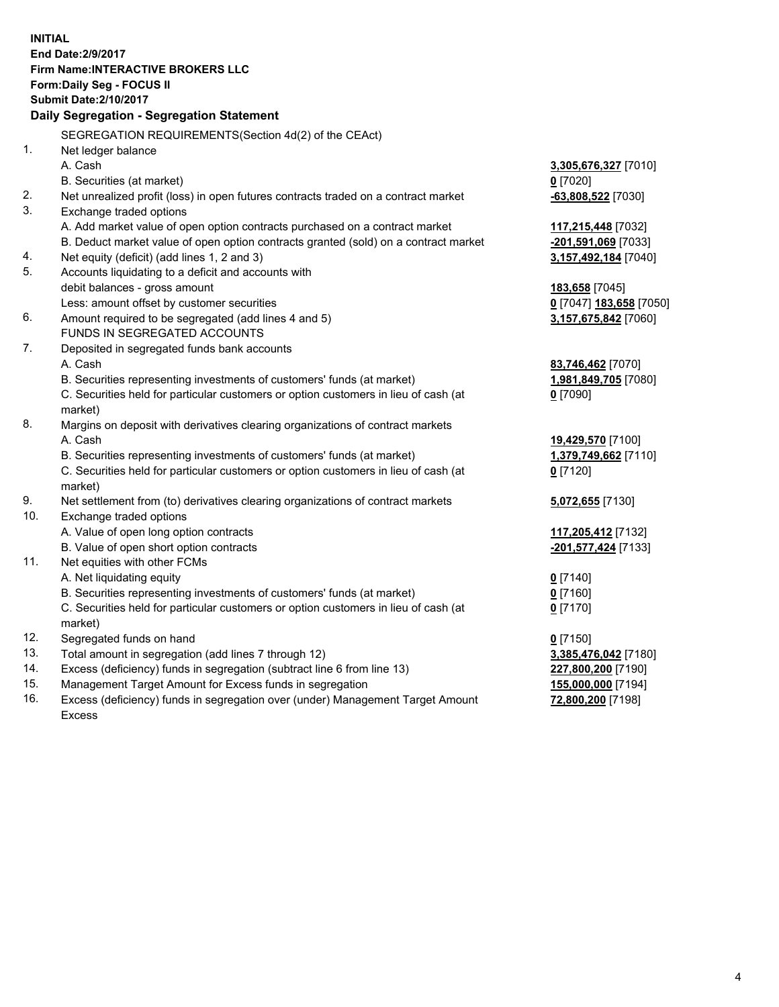**INITIAL End Date:2/9/2017 Firm Name:INTERACTIVE BROKERS LLC Form:Daily Seg - FOCUS II Submit Date:2/10/2017 Daily Segregation - Segregation Statement** SEGREGATION REQUIREMENTS(Section 4d(2) of the CEAct) 1. Net ledger balance A. Cash **3,305,676,327** [7010] B. Securities (at market) **0** [7020] 2. Net unrealized profit (loss) in open futures contracts traded on a contract market **-63,808,522** [7030] 3. Exchange traded options A. Add market value of open option contracts purchased on a contract market **117,215,448** [7032] B. Deduct market value of open option contracts granted (sold) on a contract market **-201,591,069** [7033] 4. Net equity (deficit) (add lines 1, 2 and 3) **3,157,492,184** [7040] 5. Accounts liquidating to a deficit and accounts with debit balances - gross amount **183,658** [7045] Less: amount offset by customer securities **0** [7047] **183,658** [7050] 6. Amount required to be segregated (add lines 4 and 5) **3,157,675,842** [7060] FUNDS IN SEGREGATED ACCOUNTS 7. Deposited in segregated funds bank accounts A. Cash **83,746,462** [7070] B. Securities representing investments of customers' funds (at market) **1,981,849,705** [7080] C. Securities held for particular customers or option customers in lieu of cash (at market) **0** [7090] 8. Margins on deposit with derivatives clearing organizations of contract markets A. Cash **19,429,570** [7100] B. Securities representing investments of customers' funds (at market) **1,379,749,662** [7110] C. Securities held for particular customers or option customers in lieu of cash (at market) **0** [7120] 9. Net settlement from (to) derivatives clearing organizations of contract markets **5,072,655** [7130] 10. Exchange traded options A. Value of open long option contracts **117,205,412** [7132] B. Value of open short option contracts **-201,577,424** [7133] 11. Net equities with other FCMs A. Net liquidating equity **0** [7140] B. Securities representing investments of customers' funds (at market) **0** [7160] C. Securities held for particular customers or option customers in lieu of cash (at market) **0** [7170] 12. Segregated funds on hand **0** [7150] 13. Total amount in segregation (add lines 7 through 12) **3,385,476,042** [7180] 14. Excess (deficiency) funds in segregation (subtract line 6 from line 13) **227,800,200** [7190] 15. Management Target Amount for Excess funds in segregation **155,000,000** [7194]

16. Excess (deficiency) funds in segregation over (under) Management Target Amount Excess

**72,800,200** [7198]